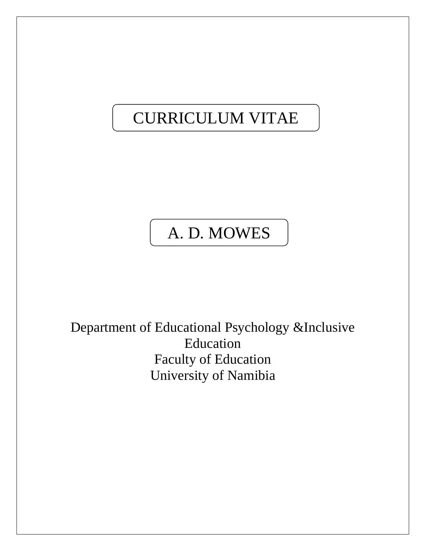# CURRICULUM VITAE

# A. D. MOWES

Department of Educational Psychology &Inclusive Education Faculty of Education University of Namibia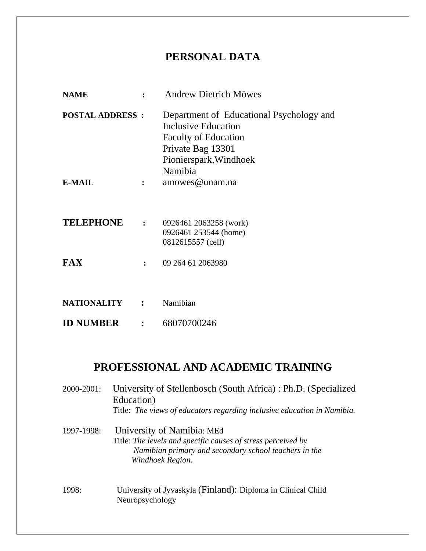# **PERSONAL DATA**

| <b>NAME</b>            |                      | <b>Andrew Dietrich Möwes</b>                                                                                                                             |
|------------------------|----------------------|----------------------------------------------------------------------------------------------------------------------------------------------------------|
| <b>POSTAL ADDRESS:</b> |                      | Department of Educational Psychology and<br>Inclusive Education<br><b>Faculty of Education</b><br>Private Bag 13301<br>Pionierspark, Windhoek<br>Namibia |
| <b>E-MAIL</b>          | $\ddot{\cdot}$       | amowes@unam.na                                                                                                                                           |
| <b>TELEPHONE</b>       | $\mathbf{L}$         | 0926461 2063258 (work)<br>0926461 253544 (home)<br>0812615557 (cell)                                                                                     |
| <b>FAX</b>             | $\ddot{\phantom{a}}$ | 09 264 61 2063980                                                                                                                                        |
|                        |                      |                                                                                                                                                          |
| <b>NATIONALITY</b>     | $\mathbf{r}$         | Namibian                                                                                                                                                 |
| <b>ID NUMBER</b>       | $\mathbf{R}$         | 68070700246                                                                                                                                              |

# **PROFESSIONAL AND ACADEMIC TRAINING**

| 2000-2001: | University of Stellenbosch (South Africa): Ph.D. (Specialized<br>Education)<br>Title: The views of educators regarding inclusive education in Namibia.                  |
|------------|-------------------------------------------------------------------------------------------------------------------------------------------------------------------------|
| 1997-1998: | University of Namibia: MEd<br>Title: The levels and specific causes of stress perceived by<br>Namibian primary and secondary school teachers in the<br>Windhoek Region. |
| 1998:      | University of Jyvaskyla (Finland): Diploma in Clinical Child<br>Neuropsychology                                                                                         |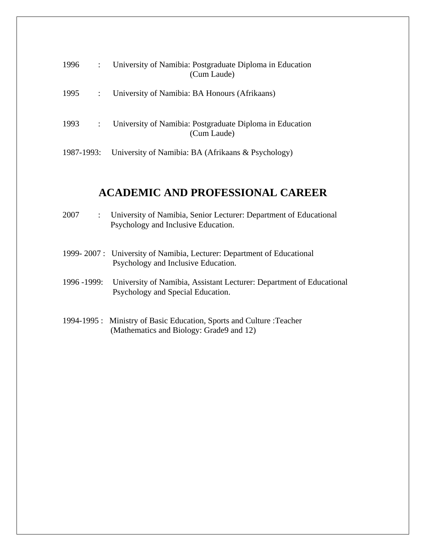| 1996       |              | University of Namibia: Postgraduate Diploma in Education<br>(Cum Laude) |
|------------|--------------|-------------------------------------------------------------------------|
| 1995       |              | University of Namibia: BA Honours (Afrikaans)                           |
| 1993       | $\mathbb{R}$ | University of Namibia: Postgraduate Diploma in Education<br>(Cum Laude) |
| 1987-1993: |              | University of Namibia: BA (Afrikaans & Psychology)                      |

# **ACADEMIC AND PROFESSIONAL CAREER**

| 2007<br>$\mathbb{R}^{\mathbb{Z}}$ | University of Namibia, Senior Lecturer: Department of Educational<br>Psychology and Inclusive Education.          |
|-----------------------------------|-------------------------------------------------------------------------------------------------------------------|
|                                   | 1999-2007 : University of Namibia, Lecturer: Department of Educational<br>Psychology and Inclusive Education.     |
| 1996 - 1999:                      | University of Namibia, Assistant Lecturer: Department of Educational<br>Psychology and Special Education.         |
|                                   | 1994-1995 : Ministry of Basic Education, Sports and Culture : Teacher<br>(Mathematics and Biology: Grade9 and 12) |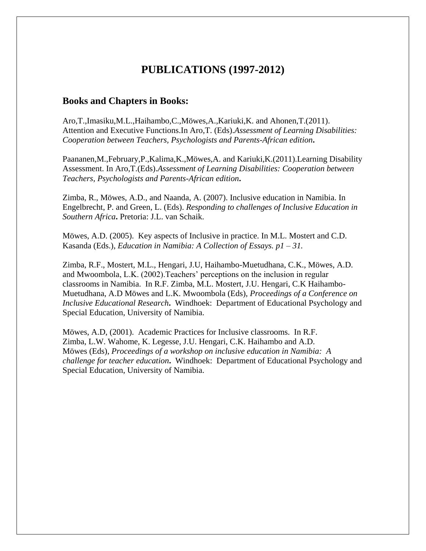### **PUBLICATIONS (1997-2012)**

#### **Books and Chapters in Books:**

Aro,T.,Imasiku,M.L.,Haihambo,C.,Möwes,A.,Kariuki,K. and Ahonen,T.(2011). Attention and Executive Functions.In Aro,T. (Eds).*Assessment of Learning Disabilities: Cooperation between Teachers, Psychologists and Parents-African edition***.**

Paananen,M.,February,P.,Kalima,K.,Möwes,A. and Kariuki,K.(2011).Learning Disability Assessment. In Aro,T.(Eds).*Assessment of Learning Disabilities: Cooperation between Teachers, Psychologists and Parents-African edition***.**

Zimba, R., Möwes, A.D., and Naanda, A. (2007). Inclusive education in Namibia. In Engelbrecht, P. and Green, L. (Eds). *Responding to challenges of Inclusive Education in Southern Africa***.** Pretoria: J.L. van Schaik.

Möwes, A.D. (2005). Key aspects of Inclusive in practice. In M.L. Mostert and C.D. Kasanda (Eds.), *Education in Namibia: A Collection of Essays. p1 – 31.*

Zimba, R.F., Mostert, M.L., Hengari, J.U, Haihambo-Muetudhana, C.K., Möwes, A.D. and Mwoombola, L.K. (2002).Teachers' perceptions on the inclusion in regular classrooms in Namibia. In R.F. Zimba, M.L. Mostert, J.U. Hengari, C.K Haihambo-Muetudhana, A.D Möwes and L.K. Mwoombola (Eds), *Proceedings of a Conference on Inclusive Educational Research***.** Windhoek: Department of Educational Psychology and Special Education, University of Namibia.

Möwes, A.D, (2001). Academic Practices for Inclusive classrooms. In R.F. Zimba, L.W. Wahome, K. Legesse, J.U. Hengari, C.K. Haihambo and A.D. Möwes (Eds), *Proceedings of a workshop on inclusive education in Namibia: A challenge for teacher education***.** Windhoek: Department of Educational Psychology and Special Education, University of Namibia.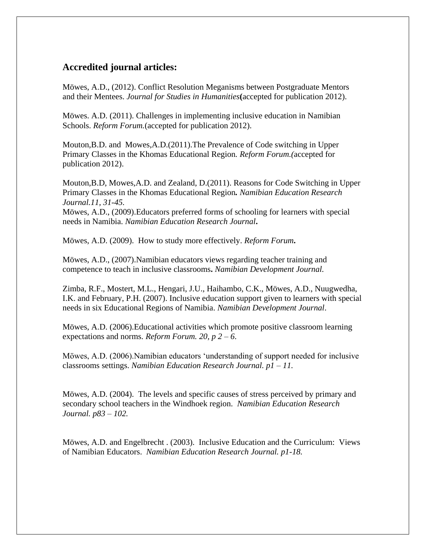#### **Accredited journal articles:**

Möwes, A.D., (2012). Conflict Resolution Meganisms between Postgraduate Mentors and their Mentees. *Journal for Studies in Humanities***(**accepted for publication 2012).

Möwes. A.D. (2011). Challenges in implementing inclusive education in Namibian Schools. *Reform Forum.*(accepted for publication 2012).

Mouton,B.D. and Mowes,A.D.(2011).The Prevalence of Code switching in Upper Primary Classes in the Khomas Educational Region*. Reform Forum.(*accepted for publication 2012).

Mouton,B.D, Mowes,A.D. and Zealand, D.(2011). Reasons for Code Switching in Upper Primary Classes in the Khomas Educational Region*. Namibian Education Research Journal.11, 31-45.* Möwes, A.D., (2009).Educators preferred forms of schooling for learners with special needs in Namibia. *Namibian Education Research Journal***.** 

Möwes, A.D. (2009). How to study more effectively. *Reform Forum***.**

Möwes, A.D., (2007).Namibian educators views regarding teacher training and competence to teach in inclusive classrooms**.** *Namibian Development Journal.*

Zimba, R.F., Mostert, M.L., Hengari, J.U., Haihambo, C.K., Möwes, A.D., Nuugwedha, I.K. and February, P.H. (2007). Inclusive education support given to learners with special needs in six Educational Regions of Namibia. *Namibian Development Journal*.

Möwes, A.D. (2006).Educational activities which promote positive classroom learning expectations and norms. *Reform Forum. 20, p 2 – 6*.

Möwes, A.D. (2006).Namibian educators 'understanding of support needed for inclusive classrooms settings. *Namibian Education Research Journal. p1 – 11.*

Möwes, A.D. (2004). The levels and specific causes of stress perceived by primary and secondary school teachers in the Windhoek region. *Namibian Education Research Journal. p83 – 102.*

Möwes, A.D. and Engelbrecht . (2003). Inclusive Education and the Curriculum: Views of Namibian Educators. *Namibian Education Research Journal. p1-18.*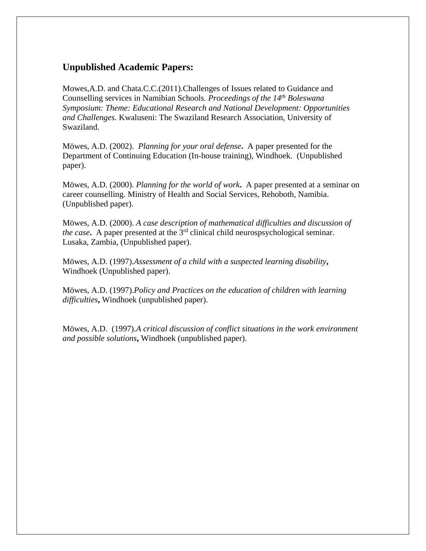#### **Unpublished Academic Papers:**

Mowes,A.D. and Chata.C.C.(2011).Challenges of Issues related to Guidance and Counselling services in Namibian Schools. *Proceedings of the 14th Boleswana Symposium: Theme: Educational Research and National Development: Opportunities and Challenges.* Kwaluseni: The Swaziland Research Association, University of Swaziland.

Möwes, A.D. (2002). *Planning for your oral defense***.** A paper presented for the Department of Continuing Education (In-house training), Windhoek. (Unpublished paper).

Möwes, A.D. (2000). *Planning for the world of work***.** A paper presented at a seminar on career counselling. Ministry of Health and Social Services, Rehoboth, Namibia. (Unpublished paper).

Möwes, A.D. (2000). *A case description of mathematical difficulties and discussion of the case*. A paper presented at the  $3<sup>rd</sup>$  clinical child neurospsychological seminar. Lusaka, Zambia, (Unpublished paper).

Möwes, A.D. (1997).*Assessment of a child with a suspected learning disability***,**  Windhoek (Unpublished paper).

Möwes, A.D. (1997).*Policy and Practices on the education of children with learning difficulties***,** Windhoek (unpublished paper).

Möwes, A.D. (1997).*A critical discussion of conflict situations in the work environment and possible solutions***,** Windhoek (unpublished paper).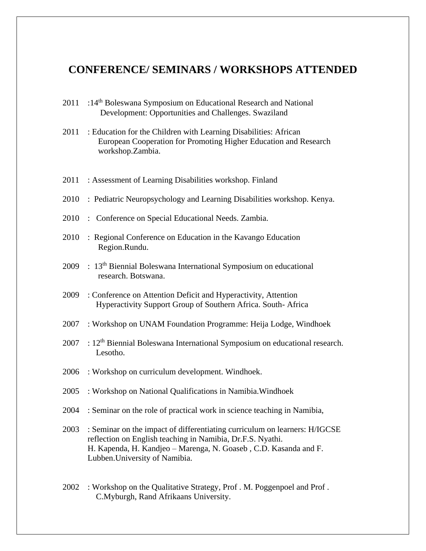### **CONFERENCE/ SEMINARS / WORKSHOPS ATTENDED**

- 2011 :14<sup>th</sup> Boleswana Symposium on Educational Research and National Development: Opportunities and Challenges. Swaziland
- 2011 : Education for the Children with Learning Disabilities: African European Cooperation for Promoting Higher Education and Research workshop.Zambia.
- 2011 : Assessment of Learning Disabilities workshop. Finland
- 2010 : Pediatric Neuropsychology and Learning Disabilities workshop. Kenya.
- 2010 : Conference on Special Educational Needs. Zambia.
- 2010 : Regional Conference on Education in the Kavango Education Region.Rundu.
- 2009 : 13<sup>th</sup> Biennial Boleswana International Symposium on educational research. Botswana.
- 2009 : Conference on Attention Deficit and Hyperactivity, Attention Hyperactivity Support Group of Southern Africa. South- Africa
- 2007 : Workshop on UNAM Foundation Programme: Heija Lodge, Windhoek
- $2007$  :  $12<sup>th</sup>$  Biennial Boleswana International Symposium on educational research. Lesotho.
- 2006 : Workshop on curriculum development. Windhoek.
- 2005 : Workshop on National Qualifications in Namibia.Windhoek
- 2004 : Seminar on the role of practical work in science teaching in Namibia,
- 2003 : Seminar on the impact of differentiating curriculum on learners: H/IGCSE reflection on English teaching in Namibia, Dr.F.S. Nyathi. H. Kapenda, H. Kandjeo – Marenga, N. Goaseb , C.D. Kasanda and F. Lubben.University of Namibia.
- 2002 : Workshop on the Qualitative Strategy, Prof . M. Poggenpoel and Prof . C.Myburgh, Rand Afrikaans University.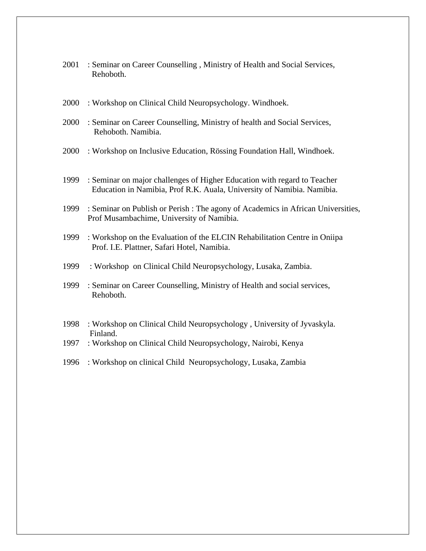- : Seminar on Career Counselling , Ministry of Health and Social Services, Rehoboth.
- : Workshop on Clinical Child Neuropsychology. Windhoek.
- : Seminar on Career Counselling, Ministry of health and Social Services, Rehoboth. Namibia.
- : Workshop on Inclusive Education, Rössing Foundation Hall, Windhoek.
- : Seminar on major challenges of Higher Education with regard to Teacher Education in Namibia, Prof R.K. Auala, University of Namibia. Namibia.
- : Seminar on Publish or Perish : The agony of Academics in African Universities, Prof Musambachime, University of Namibia.
- : Workshop on the Evaluation of the ELCIN Rehabilitation Centre in Oniipa Prof. I.E. Plattner, Safari Hotel, Namibia.
- : Workshop on Clinical Child Neuropsychology, Lusaka, Zambia.
- : Seminar on Career Counselling, Ministry of Health and social services, Rehoboth.
- : Workshop on Clinical Child Neuropsychology , University of Jyvaskyla. Finland.
- : Workshop on Clinical Child Neuropsychology, Nairobi, Kenya
- : Workshop on clinical Child Neuropsychology, Lusaka, Zambia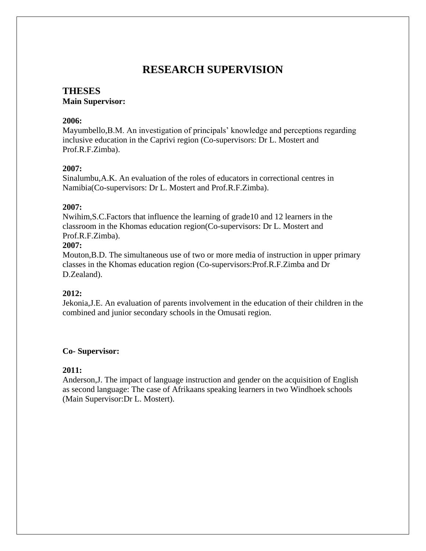## **RESEARCH SUPERVISION**

### **THESES**

#### **Main Supervisor:**

#### **2006:**

Mayumbello,B.M. An investigation of principals' knowledge and perceptions regarding inclusive education in the Caprivi region (Co-supervisors: Dr L. Mostert and Prof.R.F.Zimba).

#### **2007:**

Sinalumbu,A.K. An evaluation of the roles of educators in correctional centres in Namibia(Co-supervisors: Dr L. Mostert and Prof.R.F.Zimba).

#### **2007:**

Nwihim,S.C.Factors that influence the learning of grade10 and 12 learners in the classroom in the Khomas education region(Co-supervisors: Dr L. Mostert and Prof.R.F.Zimba).

#### **2007:**

Mouton,B.D. The simultaneous use of two or more media of instruction in upper primary classes in the Khomas education region (Co-supervisors:Prof.R.F.Zimba and Dr D.Zealand).

#### **2012:**

Jekonia,J.E. An evaluation of parents involvement in the education of their children in the combined and junior secondary schools in the Omusati region.

#### **Co- Supervisor:**

#### **2011:**

Anderson,J. The impact of language instruction and gender on the acquisition of English as second language: The case of Afrikaans speaking learners in two Windhoek schools (Main Supervisor:Dr L. Mostert).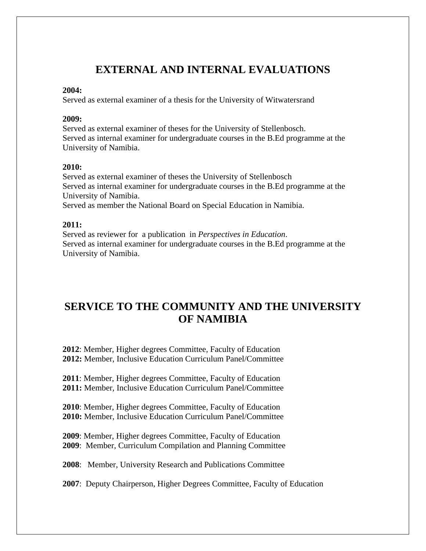## **EXTERNAL AND INTERNAL EVALUATIONS**

#### **2004:**

Served as external examiner of a thesis for the University of Witwatersrand

#### **2009:**

Served as external examiner of theses for the University of Stellenbosch. Served as internal examiner for undergraduate courses in the B.Ed programme at the University of Namibia.

#### **2010:**

Served as external examiner of theses the University of Stellenbosch Served as internal examiner for undergraduate courses in the B.Ed programme at the University of Namibia.

Served as member the National Board on Special Education in Namibia.

#### **2011:**

Served as reviewer for a publication in *Perspectives in Education*. Served as internal examiner for undergraduate courses in the B.Ed programme at the University of Namibia.

# **SERVICE TO THE COMMUNITY AND THE UNIVERSITY OF NAMIBIA**

**2012**: Member, Higher degrees Committee, Faculty of Education **2012:** Member, Inclusive Education Curriculum Panel/Committee

**2011**: Member, Higher degrees Committee, Faculty of Education **2011:** Member, Inclusive Education Curriculum Panel/Committee

**2010**: Member, Higher degrees Committee, Faculty of Education **2010:** Member, Inclusive Education Curriculum Panel/Committee

**2009**: Member, Higher degrees Committee, Faculty of Education **2009**: Member, Curriculum Compilation and Planning Committee

**2008**: Member, University Research and Publications Committee

**2007**: Deputy Chairperson, Higher Degrees Committee, Faculty of Education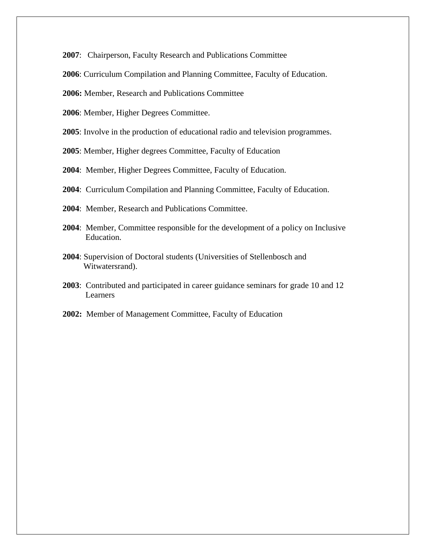: Chairperson, Faculty Research and Publications Committee

: Curriculum Compilation and Planning Committee, Faculty of Education.

**2006:** Member, Research and Publications Committee

: Member, Higher Degrees Committee.

: Involve in the production of educational radio and television programmes.

: Member, Higher degrees Committee, Faculty of Education

: Member, Higher Degrees Committee, Faculty of Education.

- : Curriculum Compilation and Planning Committee, Faculty of Education.
- : Member, Research and Publications Committee.
- : Member, Committee responsible for the development of a policy on Inclusive Education.
- : Supervision of Doctoral students (Universities of Stellenbosch and Witwatersrand).
- : Contributed and participated in career guidance seminars for grade 10 and 12 Learners
- **2002:** Member of Management Committee, Faculty of Education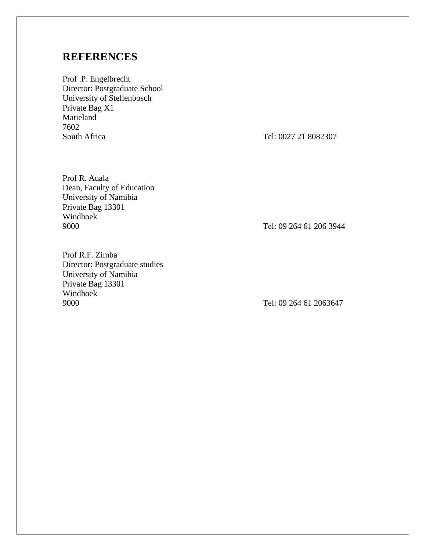## **REFERENCES**

Prof .P. Engelbrecht Director: Postgraduate School University of Stellenbosch Private Bag X1 Matieland 7602 South Africa Tel: 0027 21 8082307

Prof R. Auala Dean, Faculty of Education University of Namibia Private Bag 13301 Windhoek 9000 Tel: 09 264 61 206 3944

Prof R.F. Zimba Director: Postgraduate studies University of Namibia Private Bag 13301 Windhoek 9000 Tel: 09 264 61 2063647